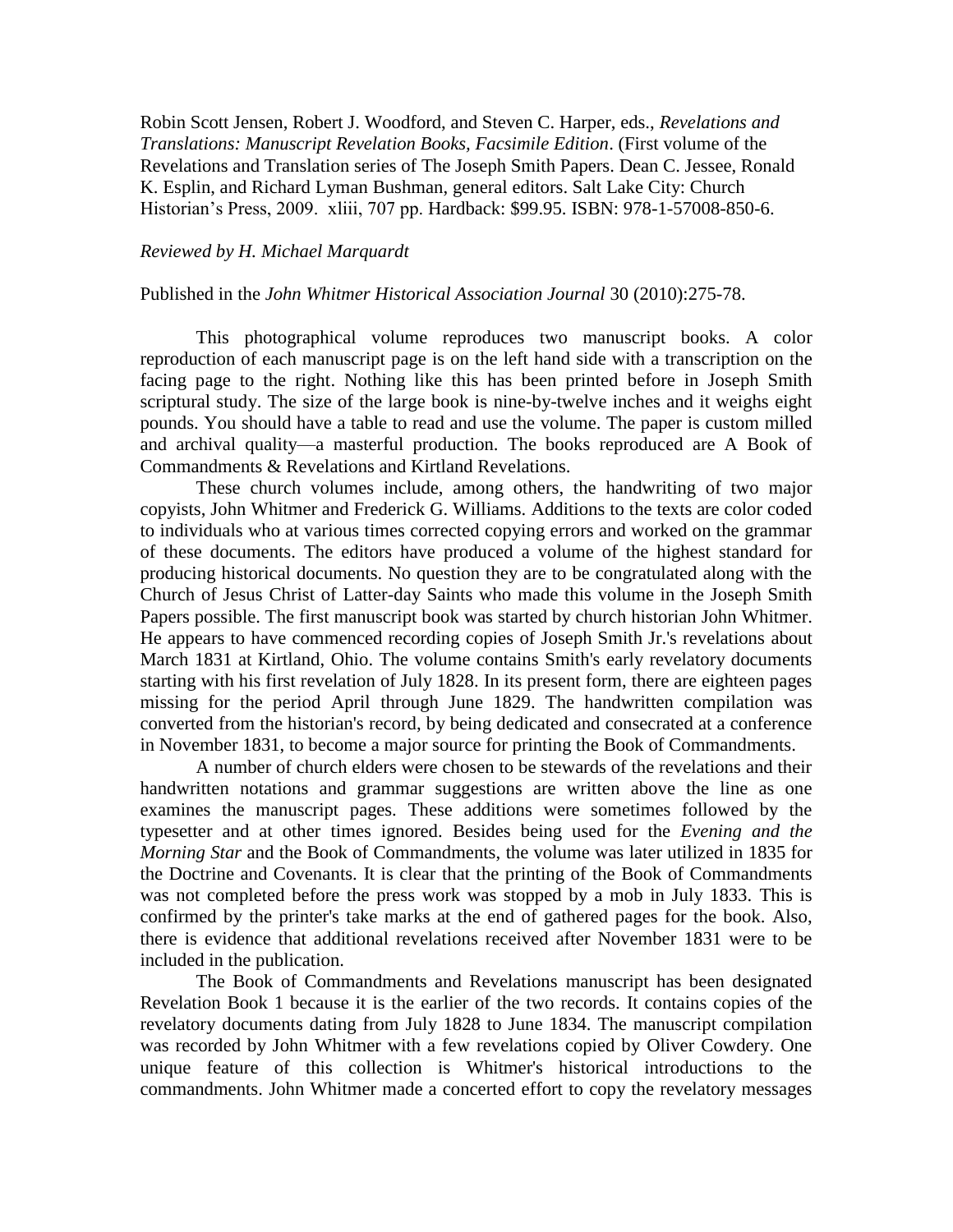Robin Scott Jensen, Robert J. Woodford, and Steven C. Harper, eds., *Revelations and Translations: Manuscript Revelation Books, Facsimile Edition*. (First volume of the Revelations and Translation series of The Joseph Smith Papers. Dean C. Jessee, Ronald K. Esplin, and Richard Lyman Bushman, general editors. Salt Lake City: Church Historian's Press, 2009. xliii, 707 pp. Hardback: \$99.95. ISBN: 978-1-57008-850-6.

## *Reviewed by H. Michael Marquardt*

## Published in the *John Whitmer Historical Association Journal* 30 (2010):275-78.

This photographical volume reproduces two manuscript books. A color reproduction of each manuscript page is on the left hand side with a transcription on the facing page to the right. Nothing like this has been printed before in Joseph Smith scriptural study. The size of the large book is nine-by-twelve inches and it weighs eight pounds. You should have a table to read and use the volume. The paper is custom milled and archival quality—a masterful production. The books reproduced are A Book of Commandments & Revelations and Kirtland Revelations.

These church volumes include, among others, the handwriting of two major copyists, John Whitmer and Frederick G. Williams. Additions to the texts are color coded to individuals who at various times corrected copying errors and worked on the grammar of these documents. The editors have produced a volume of the highest standard for producing historical documents. No question they are to be congratulated along with the Church of Jesus Christ of Latter-day Saints who made this volume in the Joseph Smith Papers possible. The first manuscript book was started by church historian John Whitmer. He appears to have commenced recording copies of Joseph Smith Jr.'s revelations about March 1831 at Kirtland, Ohio. The volume contains Smith's early revelatory documents starting with his first revelation of July 1828. In its present form, there are eighteen pages missing for the period April through June 1829. The handwritten compilation was converted from the historian's record, by being dedicated and consecrated at a conference in November 1831, to become a major source for printing the Book of Commandments.

A number of church elders were chosen to be stewards of the revelations and their handwritten notations and grammar suggestions are written above the line as one examines the manuscript pages. These additions were sometimes followed by the typesetter and at other times ignored. Besides being used for the *Evening and the Morning Star* and the Book of Commandments, the volume was later utilized in 1835 for the Doctrine and Covenants. It is clear that the printing of the Book of Commandments was not completed before the press work was stopped by a mob in July 1833. This is confirmed by the printer's take marks at the end of gathered pages for the book. Also, there is evidence that additional revelations received after November 1831 were to be included in the publication.

The Book of Commandments and Revelations manuscript has been designated Revelation Book 1 because it is the earlier of the two records. It contains copies of the revelatory documents dating from July 1828 to June 1834. The manuscript compilation was recorded by John Whitmer with a few revelations copied by Oliver Cowdery. One unique feature of this collection is Whitmer's historical introductions to the commandments. John Whitmer made a concerted effort to copy the revelatory messages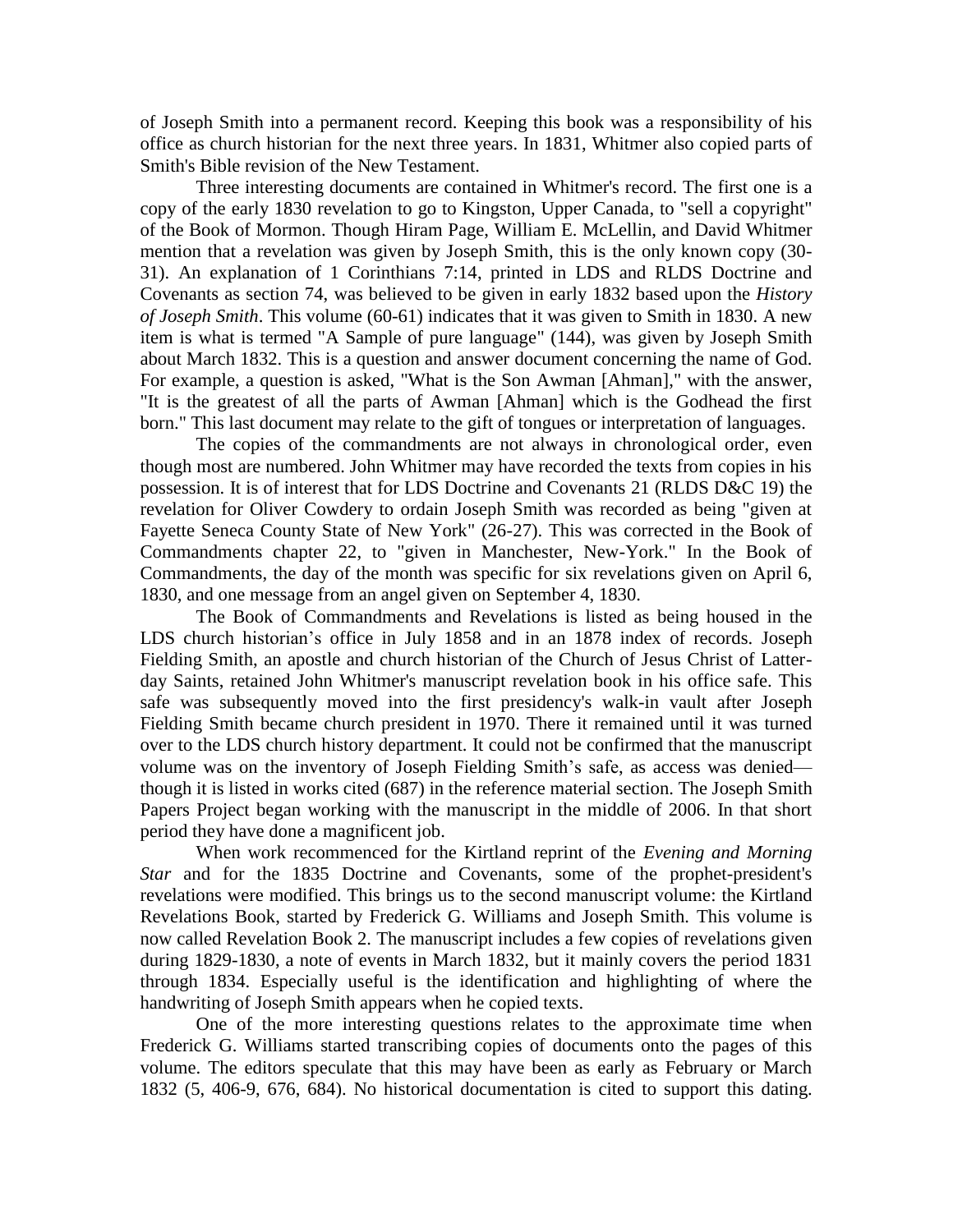of Joseph Smith into a permanent record. Keeping this book was a responsibility of his office as church historian for the next three years. In 1831, Whitmer also copied parts of Smith's Bible revision of the New Testament.

Three interesting documents are contained in Whitmer's record. The first one is a copy of the early 1830 revelation to go to Kingston, Upper Canada, to "sell a copyright" of the Book of Mormon. Though Hiram Page, William E. McLellin, and David Whitmer mention that a revelation was given by Joseph Smith, this is the only known copy (30- 31). An explanation of 1 Corinthians 7:14, printed in LDS and RLDS Doctrine and Covenants as section 74, was believed to be given in early 1832 based upon the *History of Joseph Smith*. This volume (60-61) indicates that it was given to Smith in 1830. A new item is what is termed "A Sample of pure language" (144), was given by Joseph Smith about March 1832. This is a question and answer document concerning the name of God. For example, a question is asked, "What is the Son Awman [Ahman]," with the answer, "It is the greatest of all the parts of Awman [Ahman] which is the Godhead the first born." This last document may relate to the gift of tongues or interpretation of languages.

The copies of the commandments are not always in chronological order, even though most are numbered. John Whitmer may have recorded the texts from copies in his possession. It is of interest that for LDS Doctrine and Covenants 21 (RLDS D&C 19) the revelation for Oliver Cowdery to ordain Joseph Smith was recorded as being "given at Fayette Seneca County State of New York" (26-27). This was corrected in the Book of Commandments chapter 22, to "given in Manchester, New-York." In the Book of Commandments, the day of the month was specific for six revelations given on April 6, 1830, and one message from an angel given on September 4, 1830.

The Book of Commandments and Revelations is listed as being housed in the LDS church historian's office in July 1858 and in an 1878 index of records. Joseph Fielding Smith, an apostle and church historian of the Church of Jesus Christ of Latterday Saints, retained John Whitmer's manuscript revelation book in his office safe. This safe was subsequently moved into the first presidency's walk-in vault after Joseph Fielding Smith became church president in 1970. There it remained until it was turned over to the LDS church history department. It could not be confirmed that the manuscript volume was on the inventory of Joseph Fielding Smith's safe, as access was denied though it is listed in works cited (687) in the reference material section. The Joseph Smith Papers Project began working with the manuscript in the middle of 2006. In that short period they have done a magnificent job.

When work recommenced for the Kirtland reprint of the *Evening and Morning Star* and for the 1835 Doctrine and Covenants, some of the prophet-president's revelations were modified. This brings us to the second manuscript volume: the Kirtland Revelations Book, started by Frederick G. Williams and Joseph Smith. This volume is now called Revelation Book 2. The manuscript includes a few copies of revelations given during 1829-1830, a note of events in March 1832, but it mainly covers the period 1831 through 1834. Especially useful is the identification and highlighting of where the handwriting of Joseph Smith appears when he copied texts.

One of the more interesting questions relates to the approximate time when Frederick G. Williams started transcribing copies of documents onto the pages of this volume. The editors speculate that this may have been as early as February or March 1832 (5, 406-9, 676, 684). No historical documentation is cited to support this dating.